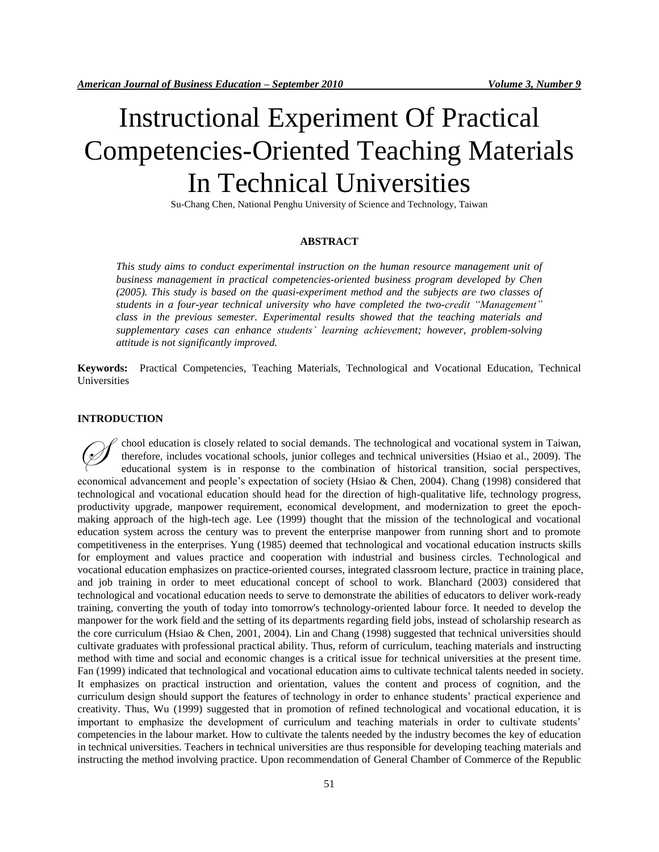# Instructional Experiment Of Practical Competencies-Oriented Teaching Materials In Technical Universities

Su-Chang Chen, National Penghu University of Science and Technology, Taiwan

#### **ABSTRACT**

*This study aims to conduct experimental instruction on the human resource management unit of business management in practical competencies-oriented business program developed by Chen (2005). This study is based on the quasi-experiment method and the subjects are two classes of students in a four-year technical university who have completed the two-credit "Management" class in the previous semester. Experimental results showed that the teaching materials and supplementary cases can enhance students' learning achievement; however, problem-solving attitude is not significantly improved.* 

**Keywords:** Practical Competencies, Teaching Materials, Technological and Vocational Education, Technical Universities

#### **INTRODUCTION**

chool education is closely related to social demands. The technological and vocational system in Taiwan, therefore, includes vocational schools, junior colleges and technical universities (Hsiao et al., 2009). The educational system is in response to the combination of historical transition, social perspectives, economical advancement and people's expectation of society (Hsiao & Chen, 2004). Chang (1998) considered that technological and vocational education should head for the direction of high-qualitative life, technology progress, productivity upgrade, manpower requirement, economical development, and modernization to greet the epochmaking approach of the high-tech age. Lee (1999) thought that the mission of the technological and vocational education system across the century was to prevent the enterprise manpower from running short and to promote competitiveness in the enterprises. Yung (1985) deemed that technological and vocational education instructs skills for employment and values practice and cooperation with industrial and business circles. Technological and vocational education emphasizes on practice-oriented courses, integrated classroom lecture, practice in training place, and job training in order to meet educational concept of school to work. Blanchard (2003) considered that technological and vocational education needs to serve to demonstrate the abilities of educators to deliver work-ready training, converting the youth of today into tomorrow's technology-oriented labour force. It needed to develop the manpower for the work field and the setting of its departments regarding field jobs, instead of scholarship research as the core curriculum (Hsiao & Chen, 2001, 2004). Lin and Chang (1998) suggested that technical universities should cultivate graduates with professional practical ability. Thus, reform of curriculum, teaching materials and instructing method with time and social and economic changes is a critical issue for technical universities at the present time. Fan (1999) indicated that technological and vocational education aims to cultivate technical talents needed in society. It emphasizes on practical instruction and orientation, values the content and process of cognition, and the curriculum design should support the features of technology in order to enhance students' practical experience and creativity. Thus, Wu (1999) suggested that in promotion of refined technological and vocational education, it is important to emphasize the development of curriculum and teaching materials in order to cultivate students' competencies in the labour market. How to cultivate the talents needed by the industry becomes the key of education in technical universities. Teachers in technical universities are thus responsible for developing teaching materials and instructing the method involving practice. Upon recommendation of General Chamber of Commerce of the Republic  $\oslash$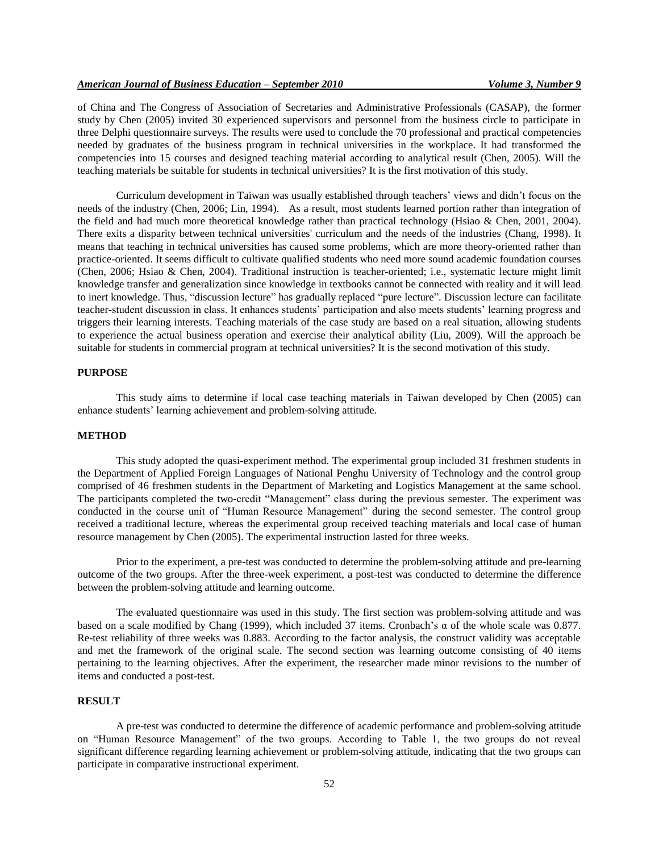of China and The Congress of Association of Secretaries and Administrative Professionals (CASAP), the former study by Chen (2005) invited 30 experienced supervisors and personnel from the business circle to participate in three Delphi questionnaire surveys. The results were used to conclude the 70 professional and practical competencies needed by graduates of the business program in technical universities in the workplace. It had transformed the competencies into 15 courses and designed teaching material according to analytical result (Chen, 2005). Will the teaching materials be suitable for students in technical universities? It is the first motivation of this study.

Curriculum development in Taiwan was usually established through teachers' views and didn't focus on the needs of the industry (Chen, 2006; Lin, 1994). As a result, most students learned portion rather than integration of the field and had much more theoretical knowledge rather than practical technology (Hsiao & Chen, 2001, 2004). There exits a disparity between technical universities' curriculum and the needs of the industries (Chang, 1998). It means that teaching in technical universities has caused some problems, which are more theory-oriented rather than practice-oriented. It seems difficult to cultivate qualified students who need more sound academic foundation courses (Chen, 2006; Hsiao & Chen, 2004). Traditional instruction is teacher-oriented; i.e., systematic lecture might limit knowledge transfer and generalization since knowledge in textbooks cannot be connected with reality and it will lead to inert knowledge. Thus, "discussion lecture" has gradually replaced "pure lecture". Discussion lecture can facilitate teacher-student discussion in class. It enhances students' participation and also meets students' learning progress and triggers their learning interests. Teaching materials of the case study are based on a real situation, allowing students to experience the actual business operation and exercise their analytical ability (Liu, 2009). Will the approach be suitable for students in commercial program at technical universities? It is the second motivation of this study.

#### **PURPOSE**

This study aims to determine if local case teaching materials in Taiwan developed by Chen (2005) can enhance students' learning achievement and problem-solving attitude.

#### **METHOD**

This study adopted the quasi-experiment method. The experimental group included 31 freshmen students in the Department of Applied Foreign Languages of National Penghu University of Technology and the control group comprised of 46 freshmen students in the Department of Marketing and Logistics Management at the same school. The participants completed the two-credit "Management" class during the previous semester. The experiment was conducted in the course unit of "Human Resource Management" during the second semester. The control group received a traditional lecture, whereas the experimental group received teaching materials and local case of human resource management by Chen (2005). The experimental instruction lasted for three weeks.

Prior to the experiment, a pre-test was conducted to determine the problem-solving attitude and pre-learning outcome of the two groups. After the three-week experiment, a post-test was conducted to determine the difference between the problem-solving attitude and learning outcome.

The evaluated questionnaire was used in this study. The first section was problem-solving attitude and was based on a scale modified by Chang (1999), which included 37 items. Cronbach's α of the whole scale was 0.877. Re-test reliability of three weeks was 0.883. According to the factor analysis, the construct validity was acceptable and met the framework of the original scale. The second section was learning outcome consisting of 40 items pertaining to the learning objectives. After the experiment, the researcher made minor revisions to the number of items and conducted a post-test.

## **RESULT**

A pre-test was conducted to determine the difference of academic performance and problem-solving attitude on "Human Resource Management" of the two groups. According to Table 1, the two groups do not reveal significant difference regarding learning achievement or problem-solving attitude, indicating that the two groups can participate in comparative instructional experiment.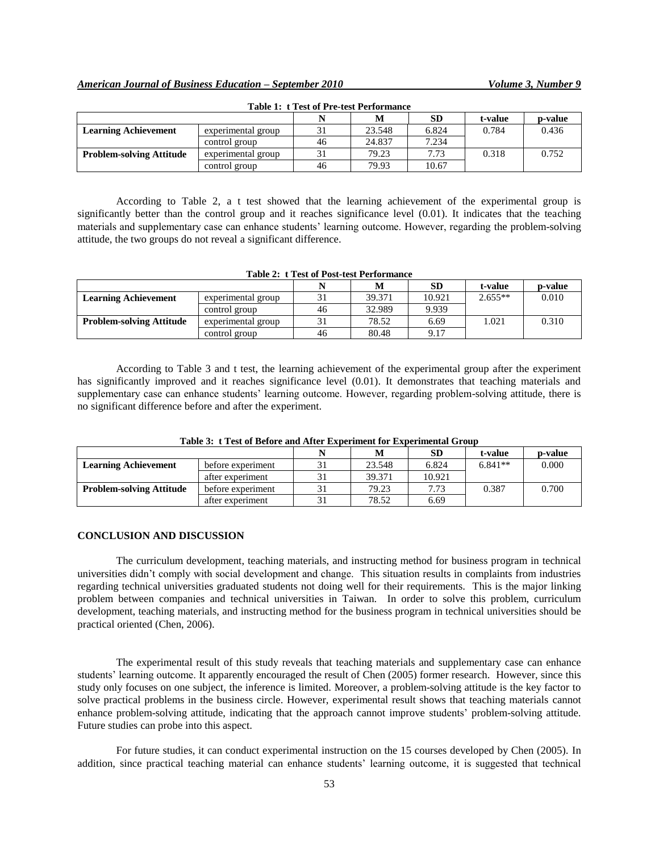|                                 |                    |    | IVI    | SD    | t-value | p-value |
|---------------------------------|--------------------|----|--------|-------|---------|---------|
| <b>Learning Achievement</b>     | experimental group | 31 | 23.548 | 6.824 | 0.784   | 0.436   |
|                                 | control group      | 46 | 24.837 | 7.234 |         |         |
| <b>Problem-solving Attitude</b> | experimental group |    | 79.23  | 7.73  | 0.318   | 0.752   |
|                                 | control group      | 46 | 79.93  | 10.67 |         |         |

| <b>Table 1: t Test of Pre-test Performance</b> |  |
|------------------------------------------------|--|
|------------------------------------------------|--|

According to Table 2, a t test showed that the learning achievement of the experimental group is significantly better than the control group and it reaches significance level (0.01). It indicates that the teaching materials and supplementary case can enhance students' learning outcome. However, regarding the problem-solving attitude, the two groups do not reveal a significant difference.

| <b>Table 2: t Test of Post-test Performance</b> |                    |    |        |           |           |         |
|-------------------------------------------------|--------------------|----|--------|-----------|-----------|---------|
|                                                 |                    |    | M      | <b>SD</b> | t-value   | p-value |
| <b>Learning Achievement</b>                     | experimental group | 31 | 39.371 | 10.921    | $2.655**$ | 0.010   |
|                                                 | control group      | 46 | 32.989 | 9.939     |           |         |
| <b>Problem-solving Attitude</b>                 | experimental group | 31 | 78.52  | 6.69      | 1.021     | 0.310   |
|                                                 | control group      | 46 | 80.48  | 9.17      |           |         |

According to Table 3 and t test, the learning achievement of the experimental group after the experiment has significantly improved and it reaches significance level (0.01). It demonstrates that teaching materials and supplementary case can enhance students' learning outcome. However, regarding problem-solving attitude, there is no significant difference before and after the experiment.

|                                 |                   |    |        | <b>SD</b> | t-value   | p-value |
|---------------------------------|-------------------|----|--------|-----------|-----------|---------|
| <b>Learning Achievement</b>     | before experiment |    | 23.548 | 6.824     | $6.841**$ | 0.000   |
|                                 | after experiment  | 31 | 39.371 | 10.921    |           |         |
| <b>Problem-solving Attitude</b> | before experiment |    | 79.23  | 7.73      | 0.387     | 0.700   |
|                                 | after experiment  |    | 78.52  | 6.69      |           |         |

**Table 3: t Test of Before and After Experiment for Experimental Group**

#### **CONCLUSION AND DISCUSSION**

The curriculum development, teaching materials, and instructing method for business program in technical universities didn't comply with social development and change. This situation results in complaints from industries regarding technical universities graduated students not doing well for their requirements. This is the major linking problem between companies and technical universities in Taiwan. In order to solve this problem, curriculum development, teaching materials, and instructing method for the business program in technical universities should be practical oriented (Chen, 2006).

The experimental result of this study reveals that teaching materials and supplementary case can enhance students' learning outcome. It apparently encouraged the result of Chen (2005) former research. However, since this study only focuses on one subject, the inference is limited. Moreover, a problem-solving attitude is the key factor to solve practical problems in the business circle. However, experimental result shows that teaching materials cannot enhance problem-solving attitude, indicating that the approach cannot improve students' problem-solving attitude. Future studies can probe into this aspect.

For future studies, it can conduct experimental instruction on the 15 courses developed by Chen (2005). In addition, since practical teaching material can enhance students' learning outcome, it is suggested that technical